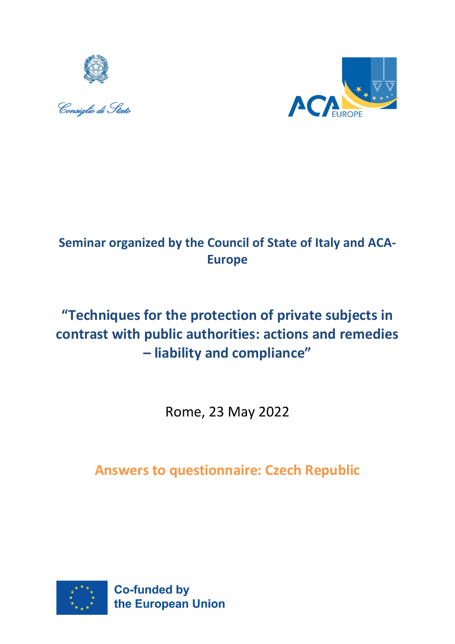





# **Seminar organized by the Council of State of Italy and ACA-Europe**

# **"Techniques for the protection of private subjects in contrast with public authorities: actions and remedies – liability and compliance"**

Rome, 23 May 2022

# **Answers to questionnaire: Czech Republic**

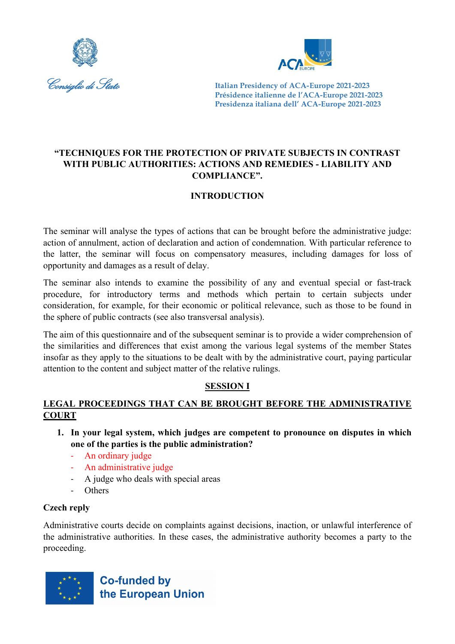



# **"TECHNIQUES FOR THE PROTECTION OF PRIVATE SUBJECTS IN CONTRAST WITH PUBLIC AUTHORITIES: ACTIONS AND REMEDIES - LIABILITY AND COMPLIANCE".**

# **INTRODUCTION**

The seminar will analyse the types of actions that can be brought before the administrative judge: action of annulment, action of declaration and action of condemnation. With particular reference to the latter, the seminar will focus on compensatory measures, including damages for loss of opportunity and damages as a result of delay.

The seminar also intends to examine the possibility of any and eventual special or fast-track procedure, for introductory terms and methods which pertain to certain subjects under consideration, for example, for their economic or political relevance, such as those to be found in the sphere of public contracts (see also transversal analysis).

The aim of this questionnaire and of the subsequent seminar is to provide a wider comprehension of the similarities and differences that exist among the various legal systems of the member States insofar as they apply to the situations to be dealt with by the administrative court, paying particular attention to the content and subject matter of the relative rulings.

# **SESSION I**

# **LEGAL PROCEEDINGS THAT CAN BE BROUGHT BEFORE THE ADMINISTRATIVE COURT**

- **1. In your legal system, which judges are competent to pronounce on disputes in which one of the parties is the public administration?**
	- An ordinary judge
	- An administrative judge
	- A judge who deals with special areas
	- Others

# **Czech reply**

Administrative courts decide on complaints against decisions, inaction, or unlawful interference of the administrative authorities. In these cases, the administrative authority becomes a party to the proceeding.

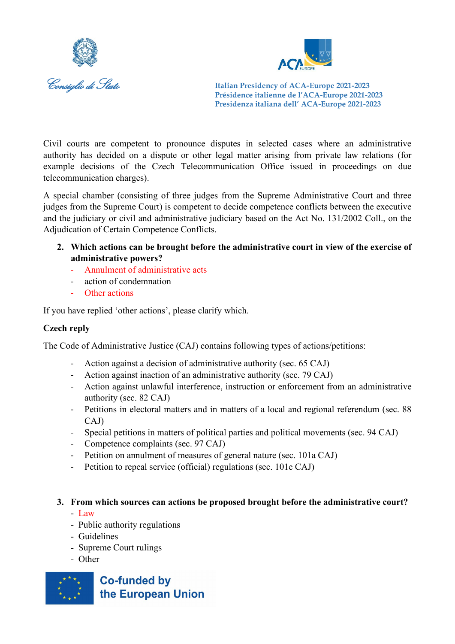



Civil courts are competent to pronounce disputes in selected cases where an administrative authority has decided on a dispute or other legal matter arising from private law relations (for example decisions of the Czech Telecommunication Office issued in proceedings on due telecommunication charges).

A special chamber (consisting of three judges from the Supreme Administrative Court and three judges from the Supreme Court) is competent to decide competence conflicts between the executive and the judiciary or civil and administrative judiciary based on the Act No. 131/2002 Coll., on the Adjudication of Certain Competence Conflicts.

- **2. Which actions can be brought before the administrative court in view of the exercise of administrative powers?**
	- Annulment of administrative acts
	- action of condemnation
	- Other actions

If you have replied 'other actions', please clarify which.

# **Czech reply**

The Code of Administrative Justice (CAJ) contains following types of actions/petitions:

- Action against a decision of administrative authority (sec. 65 CAJ)
- Action against inaction of an administrative authority (sec. 79 CAJ)
- Action against unlawful interference, instruction or enforcement from an administrative authority (sec. 82 CAJ)
- Petitions in electoral matters and in matters of a local and regional referendum (sec. 88 CAJ)
- Special petitions in matters of political parties and political movements (sec. 94 CAJ)
- Competence complaints (sec. 97 CAJ)
- Petition on annulment of measures of general nature (sec. 101a CAJ)
- Petition to repeal service (official) regulations (sec. 101e CAJ)

# **3. From which sources can actions be proposed brought before the administrative court?**

- Law
- Public authority regulations
- Guidelines
- Supreme Court rulings
- Other

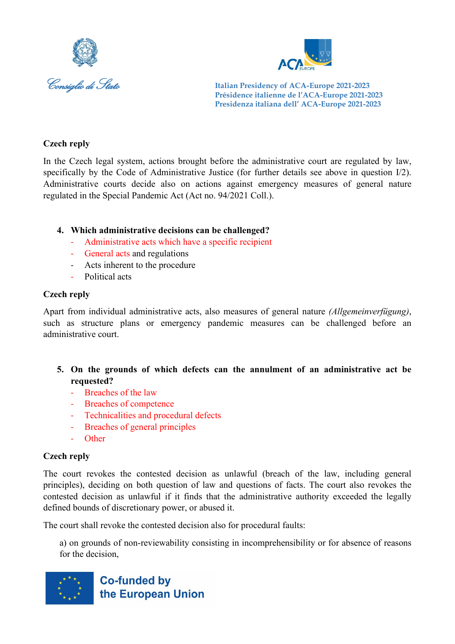



## **Czech reply**

In the Czech legal system, actions brought before the administrative court are regulated by law, specifically by the Code of Administrative Justice (for further details see above in question I/2). Administrative courts decide also on actions against emergency measures of general nature regulated in the Special Pandemic Act (Act no. 94/2021 Coll.).

### **4. Which administrative decisions can be challenged?**

- Administrative acts which have a specific recipient
- General acts and regulations
- Acts inherent to the procedure
- Political acts

### **Czech reply**

Apart from individual administrative acts, also measures of general nature *(Allgemeinverfügung)*, such as structure plans or emergency pandemic measures can be challenged before an administrative court.

- **5. On the grounds of which defects can the annulment of an administrative act be requested?**
	- Breaches of the law
	- Breaches of competence
	- Technicalities and procedural defects
	- Breaches of general principles
	- Other

# **Czech reply**

The court revokes the contested decision as unlawful (breach of the law, including general principles), deciding on both question of law and questions of facts. The court also revokes the contested decision as unlawful if it finds that the administrative authority exceeded the legally defined bounds of discretionary power, or abused it.

The court shall revoke the contested decision also for procedural faults:

a) on grounds of non-reviewability consisting in incomprehensibility or for absence of reasons for the decision,

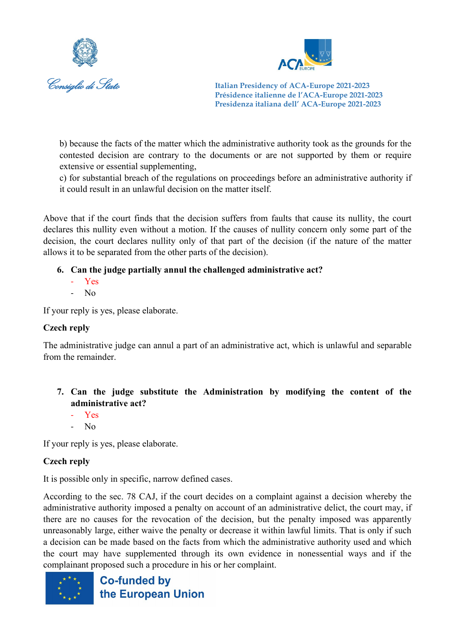



b) because the facts of the matter which the administrative authority took as the grounds for the contested decision are contrary to the documents or are not supported by them or require extensive or essential supplementing,

c) for substantial breach of the regulations on proceedings before an administrative authority if it could result in an unlawful decision on the matter itself.

Above that if the court finds that the decision suffers from faults that cause its nullity, the court declares this nullity even without a motion. If the causes of nullity concern only some part of the decision, the court declares nullity only of that part of the decision (if the nature of the matter allows it to be separated from the other parts of the decision).

# **6. Can the judge partially annul the challenged administrative act?**

- Yes
- No

If your reply is yes, please elaborate.

# **Czech reply**

The administrative judge can annul a part of an administrative act, which is unlawful and separable from the remainder.

# **7. Can the judge substitute the Administration by modifying the content of the administrative act?**

- Yes
- No

If your reply is yes, please elaborate.

# **Czech reply**

It is possible only in specific, narrow defined cases.

According to the sec. 78 CAJ, if the court decides on a complaint against a decision whereby the administrative authority imposed a penalty on account of an administrative delict, the court may, if there are no causes for the revocation of the decision, but the penalty imposed was apparently unreasonably large, either waive the penalty or decrease it within lawful limits. That is only if such a decision can be made based on the facts from which the administrative authority used and which the court may have supplemented through its own evidence in nonessential ways and if the complainant proposed such a procedure in his or her complaint.

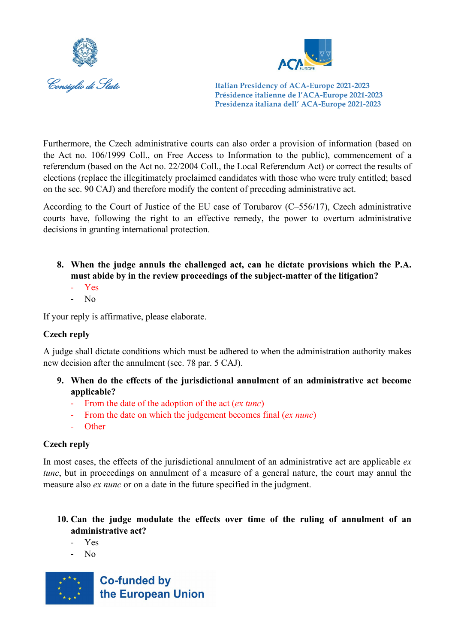



Furthermore, the Czech administrative courts can also order a provision of information (based on the Act no. 106/1999 Coll., on Free Access to Information to the public), commencement of a referendum (based on the Act no. 22/2004 Coll., the Local Referendum Act) or correct the results of elections (replace the illegitimately proclaimed candidates with those who were truly entitled; based on the sec. 90 CAJ) and therefore modify the content of preceding administrative act.

According to the Court of Justice of the EU case of Torubarov (C–556/17), Czech administrative courts have, following the right to an effective remedy, the power to overturn administrative decisions in granting international protection.

- **8. When the judge annuls the challenged act, can he dictate provisions which the P.A. must abide by in the review proceedings of the subject-matter of the litigation?** 
	- Yes
	- $N_{\Omega}$

If your reply is affirmative, please elaborate.

# **Czech reply**

A judge shall dictate conditions which must be adhered to when the administration authority makes new decision after the annulment (sec. 78 par. 5 CAJ).

- **9. When do the effects of the jurisdictional annulment of an administrative act become applicable?** 
	- From the date of the adoption of the act (*ex tunc*)
	- From the date on which the judgement becomes final (*ex nunc*)
	- Other

# **Czech reply**

In most cases, the effects of the jurisdictional annulment of an administrative act are applicable *ex tunc*, but in proceedings on annulment of a measure of a general nature, the court may annul the measure also *ex nunc* or on a date in the future specified in the judgment.

# **10. Can the judge modulate the effects over time of the ruling of annulment of an administrative act?**

- Yes
- No

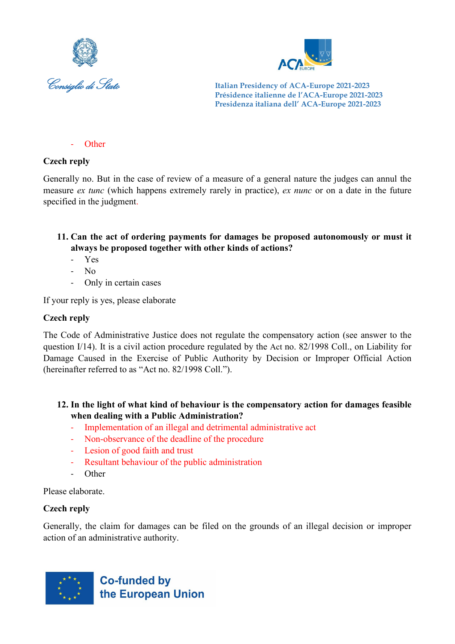



- Other

## **Czech reply**

Generally no. But in the case of review of a measure of a general nature the judges can annul the measure *ex tunc* (which happens extremely rarely in practice), *ex nunc* or on a date in the future specified in the judgment.

**11. Can the act of ordering payments for damages be proposed autonomously or must it always be proposed together with other kinds of actions?**

- Yes
- No
- Only in certain cases

If your reply is yes, please elaborate

## **Czech reply**

The Code of Administrative Justice does not regulate the compensatory action (see answer to the question I/14). It is a civil action procedure regulated by the Act no. 82/1998 Coll., on Liability for Damage Caused in the Exercise of Public Authority by Decision or Improper Official Action (hereinafter referred to as "Act no. 82/1998 Coll.").

### **12. In the light of what kind of behaviour is the compensatory action for damages feasible when dealing with a Public Administration?**

- Implementation of an illegal and detrimental administrative act
- Non-observance of the deadline of the procedure
- Lesion of good faith and trust
- Resultant behaviour of the public administration
- Other

Please elaborate.

# **Czech reply**

Generally, the claim for damages can be filed on the grounds of an illegal decision or improper action of an administrative authority.

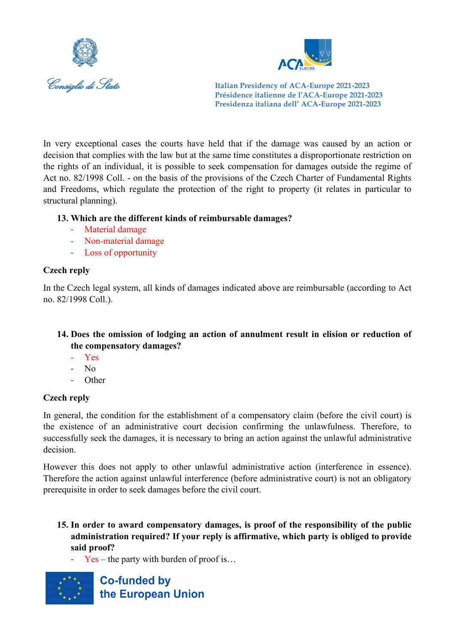



In very exceptional cases the courts have held that if the damage was caused by an action or decision that complies with the law but at the same time constitutes a disproportionate restriction on the rights of an individual, it is possible to seek compensation for damages outside the regime of Act no. 82/1998 Coll. - on the basis of the provisions of the Czech Charter of Fundamental Rights and Freedoms, which regulate the protection of the right to property (it relates in particular to structural planning).

# **13. Which are the different kinds of reimbursable damages?**

- Material damage
- Non-material damage
- Loss of opportunity

## **Czech reply**

In the Czech legal system, all kinds of damages indicated above are reimbursable (according to Act no. 82/1998 Coll.).

# **14. Does the omission of lodging an action of annulment result in elision or reduction of the compensatory damages?**

- Yes
- $N<sub>0</sub>$
- Other

# **Czech reply**

In general, the condition for the establishment of a compensatory claim (before the civil court) is the existence of an administrative court decision confirming the unlawfulness. Therefore, to successfully seek the damages, it is necessary to bring an action against the unlawful administrative decision.

However this does not apply to other unlawful administrative action (interference in essence). Therefore the action against unlawful interference (before administrative court) is not an obligatory prerequisite in order to seek damages before the civil court.

- **15. In order to award compensatory damages, is proof of the responsibility of the public administration required? If your reply is affirmative, which party is obliged to provide said proof?**
	- $Yes the party with burden of proof is...$

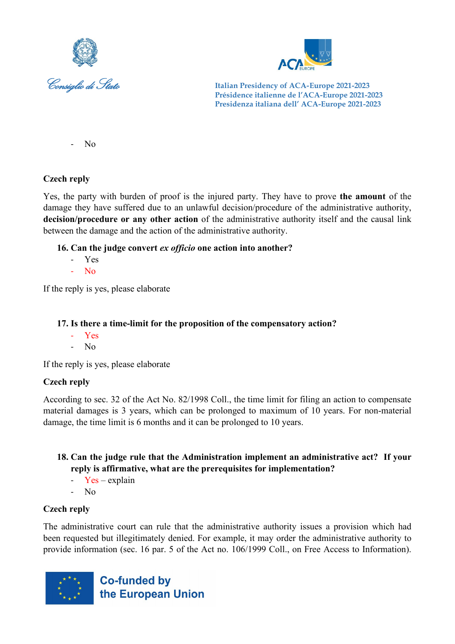



- No

# **Czech reply**

Yes, the party with burden of proof is the injured party. They have to prove **the amount** of the damage they have suffered due to an unlawful decision/procedure of the administrative authority, **decision/procedure or any other action** of the administrative authority itself and the causal link between the damage and the action of the administrative authority.

# **16. Can the judge convert** *ex officio* **one action into another?**

- Yes
- No

If the reply is yes, please elaborate

# **17. Is there a time-limit for the proposition of the compensatory action?**

- Yes
- No

If the reply is yes, please elaborate

# **Czech reply**

According to sec. 32 of the Act No. 82/1998 Coll., the time limit for filing an action to compensate material damages is 3 years, which can be prolonged to maximum of 10 years. For non-material damage, the time limit is 6 months and it can be prolonged to 10 years.

## **18. Can the judge rule that the Administration implement an administrative act? If your reply is affirmative, what are the prerequisites for implementation?**

- $Yes explanation$
- No

# **Czech reply**

The administrative court can rule that the administrative authority issues a provision which had been requested but illegitimately denied. For example, it may order the administrative authority to provide information (sec. 16 par. 5 of the Act no. 106/1999 Coll., on Free Access to Information).

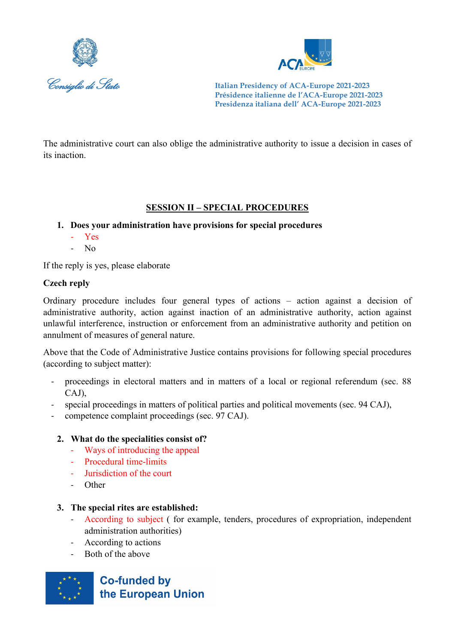



The administrative court can also oblige the administrative authority to issue a decision in cases of its inaction.

# **SESSION II – SPECIAL PROCEDURES**

- **1. Does your administration have provisions for special procedures**
	- Yes
	- $\overline{N}$

If the reply is yes, please elaborate

### **Czech reply**

Ordinary procedure includes four general types of actions – action against a decision of administrative authority, action against inaction of an administrative authority, action against unlawful interference, instruction or enforcement from an administrative authority and petition on annulment of measures of general nature.

Above that the Code of Administrative Justice contains provisions for following special procedures (according to subject matter):

- proceedings in electoral matters and in matters of a local or regional referendum (sec. 88 CAJ),
- special proceedings in matters of political parties and political movements (sec. 94 CAJ),
- competence complaint proceedings (sec. 97 CAJ).

### **2. What do the specialities consist of?**

- Ways of introducing the appeal
- Procedural time-limits
- Jurisdiction of the court
- Other

### **3. The special rites are established:**

- According to subject ( for example, tenders, procedures of expropriation, independent administration authorities)
- According to actions
- Both of the above

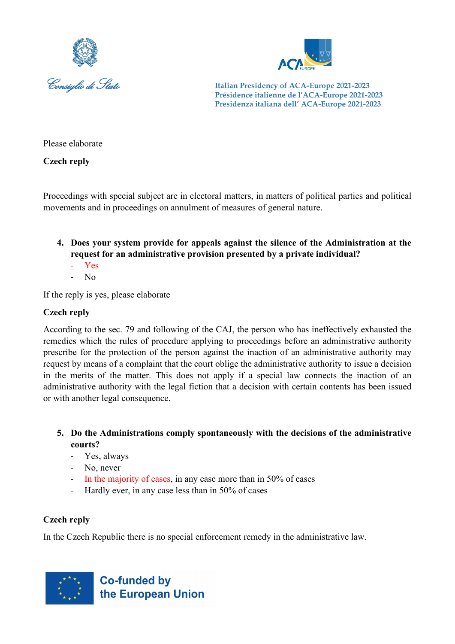



Please elaborate

**Czech reply**

Proceedings with special subject are in electoral matters, in matters of political parties and political movements and in proceedings on annulment of measures of general nature.

- **4. Does your system provide for appeals against the silence of the Administration at the request for an administrative provision presented by a private individual?**
	- Yes
	- No

If the reply is yes, please elaborate

# **Czech reply**

According to the sec. 79 and following of the CAJ, the person who has ineffectively exhausted the remedies which the rules of procedure applying to proceedings before an administrative authority prescribe for the protection of the person against the inaction of an administrative authority may request by means of a complaint that the court oblige the administrative authority to issue a decision in the merits of the matter. This does not apply if a special law connects the inaction of an administrative authority with the legal fiction that a decision with certain contents has been issued or with another legal consequence.

- **5. Do the Administrations comply spontaneously with the decisions of the administrative courts?**
	- Yes, always
	- No, never
	- In the majority of cases, in any case more than in 50% of cases
	- Hardly ever, in any case less than in 50% of cases

# **Czech reply**

In the Czech Republic there is no special enforcement remedy in the administrative law.

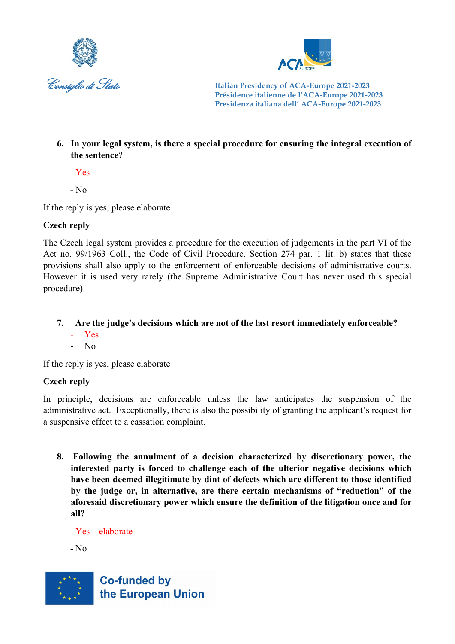



**6. In your legal system, is there a special procedure for ensuring the integral execution of the sentence**?

- Yes

 $-$  No

If the reply is yes, please elaborate

# **Czech reply**

The Czech legal system provides a procedure for the execution of judgements in the part VI of the Act no. 99/1963 Coll., the Code of Civil Procedure. Section 274 par. 1 lit. b) states that these provisions shall also apply to the enforcement of enforceable decisions of administrative courts. However it is used very rarely (the Supreme Administrative Court has never used this special procedure).

- **7. Are the judge's decisions which are not of the last resort immediately enforceable?**
	- Yes
	- No

If the reply is yes, please elaborate

# **Czech reply**

In principle, decisions are enforceable unless the law anticipates the suspension of the administrative act. Exceptionally, there is also the possibility of granting the applicant's request for a suspensive effect to a cassation complaint.

**8. Following the annulment of a decision characterized by discretionary power, the interested party is forced to challenge each of the ulterior negative decisions which have been deemed illegitimate by dint of defects which are different to those identified by the judge or, in alternative, are there certain mechanisms of "reduction" of the aforesaid discretionary power which ensure the definition of the litigation once and for all?**

- Yes – elaborate

- No

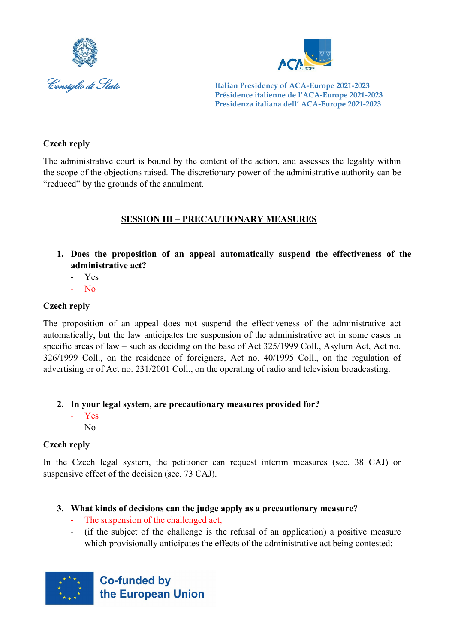



## **Czech reply**

The administrative court is bound by the content of the action, and assesses the legality within the scope of the objections raised. The discretionary power of the administrative authority can be "reduced" by the grounds of the annulment.

# **SESSION III – PRECAUTIONARY MEASURES**

- **1. Does the proposition of an appeal automatically suspend the effectiveness of the administrative act?** 
	- Yes
	- No

# **Czech reply**

The proposition of an appeal does not suspend the effectiveness of the administrative act automatically, but the law anticipates the suspension of the administrative act in some cases in specific areas of law – such as deciding on the base of Act 325/1999 Coll., Asylum Act, Act no. 326/1999 Coll., on the residence of foreigners, Act no. 40/1995 Coll., on the regulation of advertising or of Act no. 231/2001 Coll., on the operating of radio and television broadcasting.

# **2. In your legal system, are precautionary measures provided for?**

- Yes
- No

# **Czech reply**

In the Czech legal system, the petitioner can request interim measures (sec. 38 CAJ) or suspensive effect of the decision (sec. 73 CAJ).

# **3. What kinds of decisions can the judge apply as a precautionary measure?**

- The suspension of the challenged act,
- (if the subject of the challenge is the refusal of an application) a positive measure which provisionally anticipates the effects of the administrative act being contested;

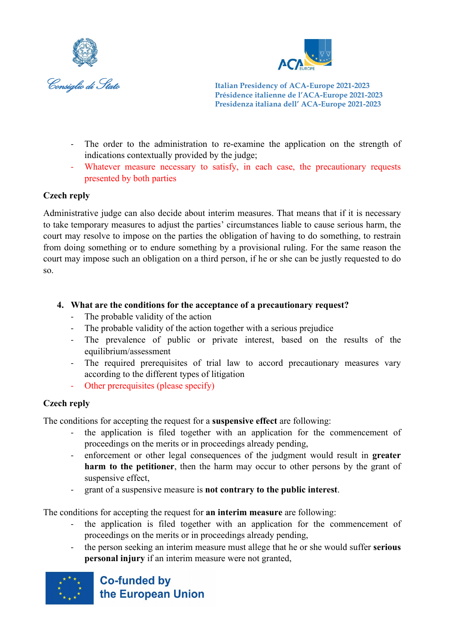



- The order to the administration to re-examine the application on the strength of indications contextually provided by the judge;
- Whatever measure necessary to satisfy, in each case, the precautionary requests presented by both parties

## **Czech reply**

Administrative judge can also decide about interim measures. That means that if it is necessary to take temporary measures to adjust the parties' circumstances liable to cause serious harm, the court may resolve to impose on the parties the obligation of having to do something, to restrain from doing something or to endure something by a provisional ruling. For the same reason the court may impose such an obligation on a third person, if he or she can be justly requested to do so.

- **4. What are the conditions for the acceptance of a precautionary request?**
	- The probable validity of the action
	- The probable validity of the action together with a serious prejudice
	- The prevalence of public or private interest, based on the results of the equilibrium/assessment
	- The required prerequisites of trial law to accord precautionary measures vary according to the different types of litigation
	- Other prerequisites (please specify)

### **Czech reply**

The conditions for accepting the request for a **suspensive effect** are following:

- the application is filed together with an application for the commencement of proceedings on the merits or in proceedings already pending,
- enforcement or other legal consequences of the judgment would result in **greater harm to the petitioner**, then the harm may occur to other persons by the grant of suspensive effect,
- grant of a suspensive measure is **not contrary to the public interest**.

The conditions for accepting the request for **an interim measure** are following:

- the application is filed together with an application for the commencement of proceedings on the merits or in proceedings already pending,
- the person seeking an interim measure must allege that he or she would suffer **serious personal injury** if an interim measure were not granted,

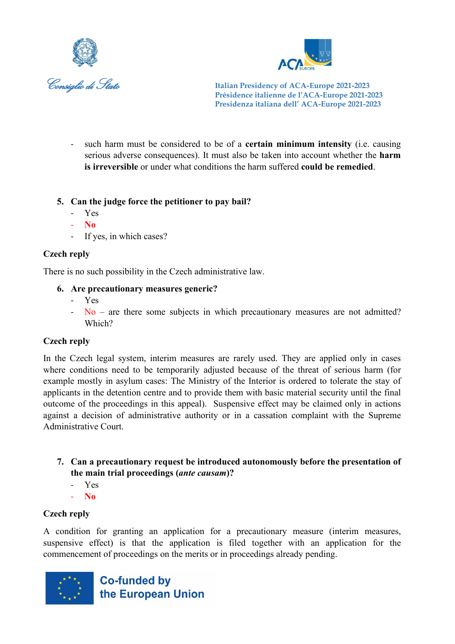



such harm must be considered to be of a **certain minimum intensity** (i.e. causing serious adverse consequences). It must also be taken into account whether the **harm is irreversible** or under what conditions the harm suffered **could be remedied**.

## **5. Can the judge force the petitioner to pay bail?**

- Yes
- **No**
- If yes, in which cases?

## **Czech reply**

There is no such possibility in the Czech administrative law.

### **6. Are precautionary measures generic?**

- Yes
- $-$  No are there some subjects in which precautionary measures are not admitted? Which?

### **Czech reply**

In the Czech legal system, interim measures are rarely used. They are applied only in cases where conditions need to be temporarily adjusted because of the threat of serious harm (for example mostly in asylum cases: The Ministry of the Interior is ordered to tolerate the stay of applicants in the detention centre and to provide them with basic material security until the final outcome of the proceedings in this appeal). Suspensive effect may be claimed only in actions against a decision of administrative authority or in a cassation complaint with the Supreme Administrative Court.

- **7. Can a precautionary request be introduced autonomously before the presentation of the main trial proceedings (***ante causam***)?**
	- Yes
	- **No**

### **Czech reply**

A condition for granting an application for a precautionary measure (interim measures, suspensive effect) is that the application is filed together with an application for the commencement of proceedings on the merits or in proceedings already pending.

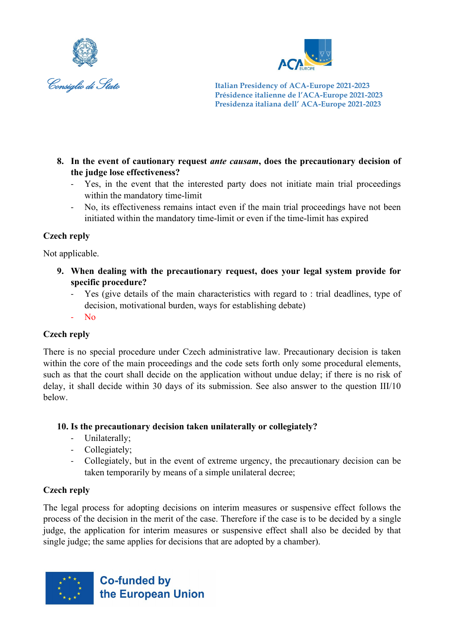



- **8. In the event of cautionary request** *ante causam***, does the precautionary decision of the judge lose effectiveness?**
	- Yes, in the event that the interested party does not initiate main trial proceedings within the mandatory time-limit
	- No, its effectiveness remains intact even if the main trial proceedings have not been initiated within the mandatory time-limit or even if the time-limit has expired

# **Czech reply**

Not applicable.

- **9. When dealing with the precautionary request, does your legal system provide for specific procedure?**
	- Yes (give details of the main characteristics with regard to : trial deadlines, type of decision, motivational burden, ways for establishing debate)
	- No

# **Czech reply**

There is no special procedure under Czech administrative law. Precautionary decision is taken within the core of the main proceedings and the code sets forth only some procedural elements, such as that the court shall decide on the application without undue delay; if there is no risk of delay, it shall decide within 30 days of its submission. See also answer to the question III/10 below.

# **10. Is the precautionary decision taken unilaterally or collegiately?**

- Unilaterally;
- Collegiately;
- Collegiately, but in the event of extreme urgency, the precautionary decision can be taken temporarily by means of a simple unilateral decree;

# **Czech reply**

The legal process for adopting decisions on interim measures or suspensive effect follows the process of the decision in the merit of the case. Therefore if the case is to be decided by a single judge, the application for interim measures or suspensive effect shall also be decided by that single judge; the same applies for decisions that are adopted by a chamber).